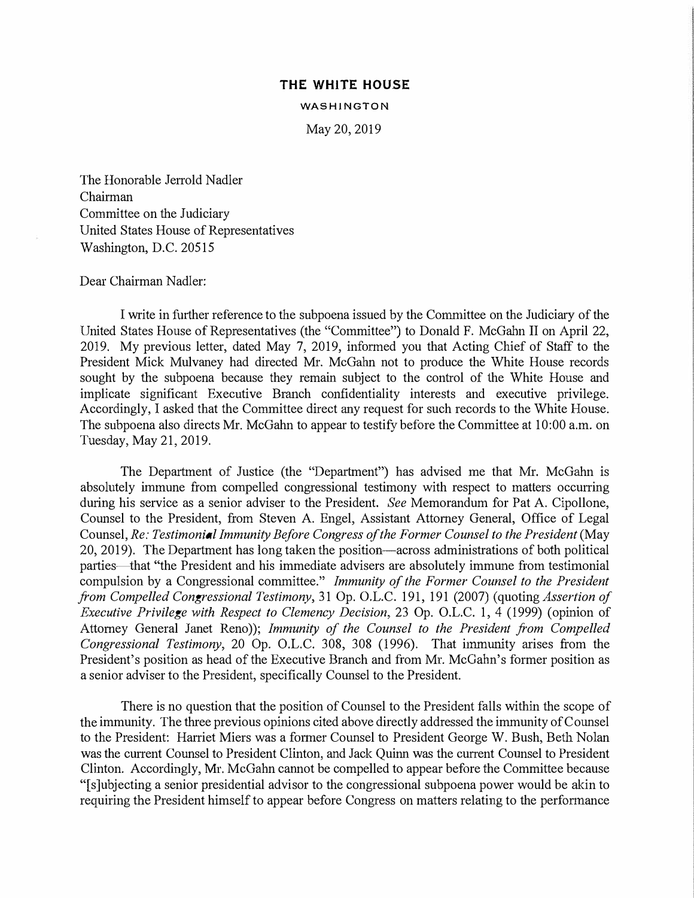## **THE WHITE HOUSE**

**WASHINGTON** 

May 20, 2019

The Honorable Jerrold Nadler Chairman Committee on the Judiciary United States House of Representatives Washington, D.C. 20515

## Dear Chairman Nadler:

I write in further reference to the subpoena issued by the Committee on the Judiciary of the United States House of Representatives (the "Committee") to Donald F. McGahn II on April 22, 2019. My previous letter, dated May 7, 2019, informed you that Acting Chief of Staff to the President Mick Mulvaney had directed Mr. McGahn not to produce the White House records sought by the subpoena because they remain subject to the control of the White House and implicate significant Executive Branch confidentiality interests and executive privilege. Accordingly, I asked that the Committee direct any request for such records to the White House. The subpoena also directs Mr. McGahn to appear to testify before the Committee at 10:00 a.m. on Tuesday, May 21, 2019.

The Department of Justice (the "Department") has advised me that Mr. McGahn is absolutely immune from compelled congressional testimony with respect to matters occurring during his service as a senior adviser to the President. *See* Memorandum for Pat A. Cipollone, Counsel to the President, from Steven A. Engel, Assistant Attorney General, Office of Legal Counsel, *Re: Testimonial Immunity Before Congress of the Former Counsel to the President* (May 20, 2019). The Department has long taken the position-across administrations of both political parties—that "the President and his immediate advisers are absolutely immune from testimonial compulsion by a Congressional committee." *Immunity of the Former Counsel to the President from Compelled Congressional Testimony,* 31 Op. O.L.C. 191, 191 (2007) (quoting *Assertion of Executive Privilege with Respect to Clemency Decision,* 23 Op. O.L.C. 1, 4 (1999) ( opinion of Attorney General Janet Reno)); *Immunity of the Counsel to the President from Compelled Congressional Testimony,* 20 Op. O.L.C. 308, 308 (1996). That immunity arises from the President's position as head of the Executive Branch and from Mr. McGahn's former position as a senior adviser to the President, specifically Counsel to the President.

There is no question that the position of Counsel to the President falls within the scope of the immunity. The three previous opinions cited above directly addressed the immunity of Counsel to the President: Harriet Miers was a former Counsel to President George W. Bush, Beth Nolan was the current Counsel to President Clinton, and Jack Quinn was the current Counsel to President Clinton. Accordingly, Mr. McGahn cannot be compelled to appear before the Committee because "[s]ubjecting a senior presidential advisor to the congressional subpoena power would be akin to requiring the President himself to appear before Congress on matters relating to the performance